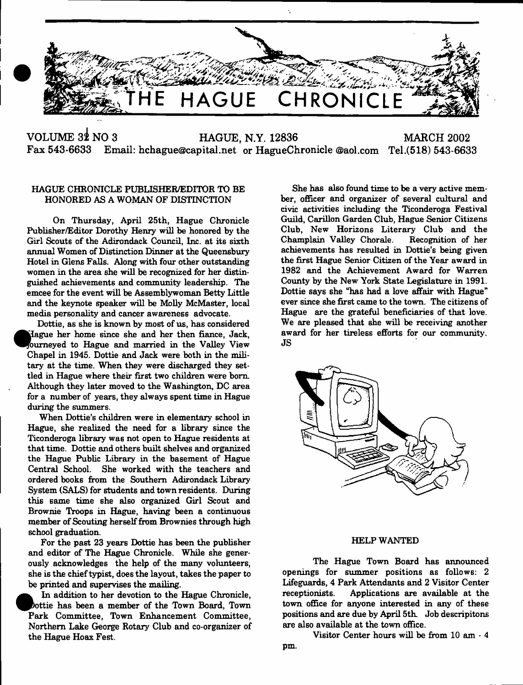

ŀ,

VOLUME 3<sup>2</sup> NO 3 HAGUE, N.Y. 12836 MARCH 2002<br>Fax 543-6633 Email: hchague@capital.net or HagueChronicle @aol.com Tel.(518) 543-663 **Fax 543-6633 Email: [hchague@capital.net](mailto:hchague@capital.net) or HagueChronicle ©aol.com Tel.(518) 543-6633**

## HAGUE CHRONICLE PUBLISHER/EDITOR TO BE HONORED AS A WOMAN OF DISTINCTION

On Thursday, April 25th, Hague Chronicle Publisher/Editor Dorothy Henry will be honored by the Girl Scouts of the Adirondack Council, Inc. at its sixth annual Women of Distinction Dinner at the Queensbury Hotel in Glens Falls. Along with four other outstanding women in the area she will be recognized for her distinguished achievements and community leadership. The emcee for the event will be Assemblywoman Betty Little and the keynote speaker will be Molly McMaster, local media personality and cancer awareness advocate.

Dottie, as she is known by most of us, has considered  $\bullet$ jlague her home since she and her then fiance, Jack, ourneved to Hague and married in the Valley View Chapel in 1945. Dottie and Jack were both in the military at the time. When they were discharged they settled in Hague where their first two children were bom Although they later moved to the Washington, DC area for a number of years, they always spent time in Hague during the summers.

When Dottie's children were in elementary school in Hague, she realized the need for a library since the Ticonderoga library was not open to Hague residents at that time. Dottie and others built shelves and organized the Hague Public Library in the basement of Hague Central School. She worked with the teachers and ordered books firom the Southern Adirondack Library System (SALS) for students and town residents. During this same time she also organized Girl Scout and Brownie Troops in Hague, having been a continuous member of Scouting herself from Brownies through high school graduation.

For the past 23 years Dottie has been the publisher and editor of The Hague Chronicle. While she generously acknowledges the help of the many volunteers, she is the chief typist, does the layout, takes the paper to be printed and supervises the mailing.

In addition to her devotion to the Hague Chronicle, ^Pbottie has been a member of the Town Board, Town Park Committee, Town Enhancement Committee, Northern Lake George Rotary Club and co-organizer of the Hague Hoax Fest.

She has also found time to be a very active member, officer and organizer of several cultural and civic activities including the Ticonderoga Festival Guild, Carillon Garden Club, Hague Senior Citizens Club, New Horizons Literary Club and the Champlain Valley Chorale. Recognition of her achievements has resulted in Dottie's being given the first Hague Senior Citizen of the Year award in 1982 and the Achievement Award for Warren County by the New York State Legislature in 1991. Dottie says she "has had a love affair with Hague" ever since she first came to the town. The citizens of Hague are the grateful beneficiaries of that love. We are pleased that she will be receiving another award for her tireless efforts for our community. JS



#### HELP WANTED

The Hague Town Board has announced openings for summer positions as follows: 2 Lifeguards, 4 Park Attendants and 2 Visitor Center receptionists. Applications are available at the town office for anyone interested in any of these positions and are due by April 5th. Job descripitons are also available at the town office.

Visitor Center hours will be from 10 am - 4 pm.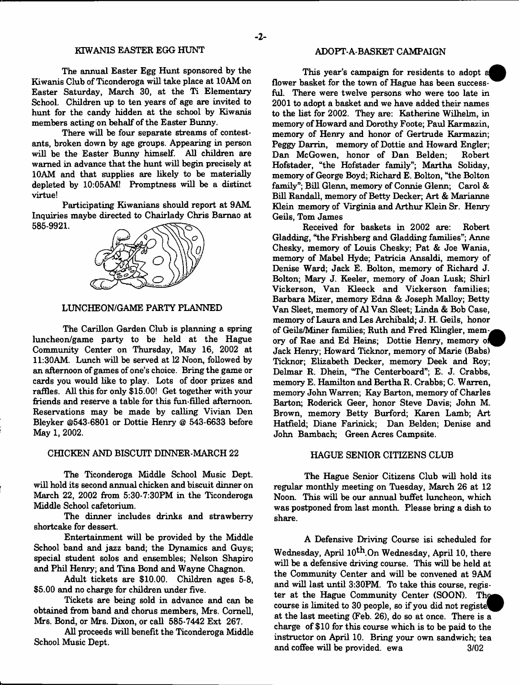#### KTWANIS EASTER EGG HUNT

The annual Easter Egg Hunt sponsored by the Kiwanis Club of Ticonderoga will take place at 10AM on Easter Saturday, March 30, at the Ti Elementary School. Children up to ten years of age are invited to hunt for the candy hidden at the school by Kiwanis members acting on behalf of the Easter Bunny.

There will be four separate streams of contestants, broken down by age groups. Appearing in person will be the Easter Bunny himself. All children are warned in advance that the hunt will begin precisely at 10AM and that supplies are likely to be materially depleted by 10:05AM! Promptness will be a distinct virtue!

Participating Kiwanians should report at 9AM. Inquiries maybe directed to Chairlady Chris Bamao at 585-9921.



#### LUNCHEON/GAME PARTY PLANNED

The Carillon Garden Club is planning a spring luncheon/game party to be held at the Hague Community Center on Thursday, May 16, 2002 at 11:30AM. Lunch will be served at 12 Noon, followed by an afternoon of games of one's choice. Bring the game or cards you would like to play. Lots of door prizes and raffles. All this for only \$15.00! Get together with your friends and reserve a table for this fun-filled afternoon. Reservations may be made by calling Vivian Den Bleyker @543-6801 or Dottie Henry @ 543-6633 before May 1, 2002.

## CHICKEN AND BISCUIT DINNER-MARCH 22

The Ticonderoga Middle School Music Dept, will hold its second annual chicken and biscuit dinner on March 22, 2002 from  $5:30.7:30PM$  in the Ticonderoga Middle School cafetorium.

The dinner includes drinks and strawberry shortcake for dessert.

Entertainment will be provided by the Middle School band and jazz band; the Dynamics and Guys; special student solos and ensembles; Nelson Shapiro and Phil Henry; and Tina Bond and Wayne Chagnon.

Adult tickets are \$10.00. Children ages 5-8, \$5.00 and no charge for children under five.

Tickets are being sold in advance and can be obtained from band and chorus members, Mrs. Cornell, Mrs. Bond, or Mrs. Dixon, or call 585-7442 Ext 267.

All proceeds will benefit the Ticonderoga Middle School Music Dept.

### ADOPT-A-BASKET CAMPAIGN

This year's campaign for residents to adopt flower basket for the town of Hague has been successful. There were twelve persons who were too late in 2001 to adopt a basket and we have added their names to the list for 2002. They are: Katherine Wilhelm, in memory of Howard and Dorothy Foote; Paul Karmazin, memory of Henry and honor of Gertrude Karmazin; Peggy Darrin, memory of Dottie and Howard Engler; Dan McGowen, honor of Dan Belden; Robert Hofstader, "the Hofstader family"; Martha Soliday, memory of George Boyd; Richard E. Bolton, "the Bolton family"; Bill Glenn, memory of Connie Glenn; Carol & Bill Randall, memory of Betty Decker; Art & Marianne Klein memory of Virginia and Arthur Klein Sr. Henry Geils, Tom James

Received for baskets in 2002 are: Robert Gladding, "the Frishberg and Gladding families"; Anne Chesky, memory of Louis Chesky; Pat & Joe Wania, memory of Mabel Hyde; Patricia Ansaldi, memory of Denise Ward; Jack E. Bolton, memory of Richard J. Bolton; Mary J. Keeler, memory of Joan Lusk; Shirl Vickerson, Van Kleeck and Vickerson families; Barbara Mizer, memory Edna & Joseph Malloy; Betty Van Sleet, memory of A1 Van Sleet; Linda & Bob Case, memory of Laura and Les Archibald; J. H. Geils, honor of Geils/Miner families; Ruth and Fred Klingler, memory of Rae and Ed Heins; Dottie Henry, memory o Jack Henry; Howard Ticknor, memory of Marie (Babs) Ticknor; Elizabeth Decker, memory Deek and Roy; Delmar R. Dhein, "The Centerboard"; E. J. Crabbs, memory E. Hamilton and Bertha R. Crabbs; C. Warren, memory John Warren; Kay Barton, memory of Charles Barton; Roderick Geer, honor Steve Davis; John M. Brown, memory Betty Burford; Karen Lamb; Art Hatfield; Diane Farinick; Dan Belden; Denise and John Bambach; Green Acres Campsite.

## HAGUE SENIOR CITIZENS CLUB

The Hague Senior Citizens Club will hold its regular monthly meeting on Tuesday, March 26 at 12 Noon. This will be our annual buffet luncheon, which was postponed from last month. Please bring a dish to share.

A Defensive Driving Course isi scheduled for Wednesday, April  $10^{th}$ . On Wednesday, April 10, there will be a defensive driving course. This will be held at the Community Center and will be convened at 9AM and will last until 3:30PM. To take this course, register at the Hague Community Center (SOON). The course is limited to 30 people, so if you did not registel^P at the last meeting (Feb. 26), do so at once. There is a charge of \$10 for this course which is to be paid to the instructor on April 10. Bring your own sandwich; tea and coffee will be provided, ewa 3/02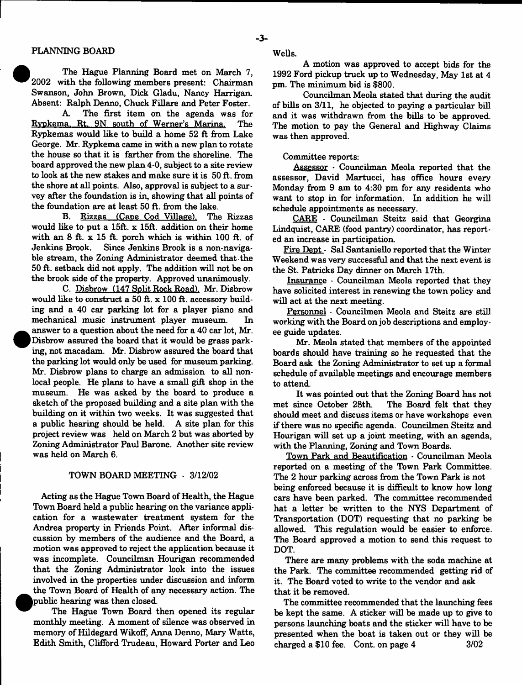$\bullet$ 

The Hague Planning Board met on March 7, 2002 with the following members present: Chairman Swanson, John Brown, Dick Gladu, Nancy Harrigan. Absent: Ralph Denno, Chuck Fillare and Peter Foster.

A. The first item on the agenda was for Rypkema. Rt. 9N south of Werner's Marina. The Rypkemas would like to build a home 52 ft from Lake George. Mr. Rypkema came in with a new plan to rotate the house so that it is farther from the shoreline. The board approved the new plan 4-0, subject to a site review to look at the new stakes and make sure it is 50 ft. from the shore at all points. Also, approval is subject to a survey after the foundation is in, showing that all points of the foundation are at least 50 ft. from the lake.

B. Rizzas (Cane Cod Village). The Rizzas would like to put a 15ft. x 15ft. addition on their home with an 8 ft. x 15 ft. porch which is within 100 ft. of Jenkins Brook. Since Jenkins Brook is a non-navigable stream, the Zoning Administrator deemed that the 50 ft. setback did not apply. The addition will not be on the brook side of the property. Approved unanimously.

C. Disbrow (147 Split Rock Road). Mr. Disbrow would like to construct a 50 ft. x 100 ft. accessory building and a 40 car parking lot for a player piano and mechanical music instrument player museum. In answer to a question about the need for a 40 car lot, Mr. Disbrow assured the board that it would be grass parking, not macadam. Mr. Disbrow assured the board that the parking lot would only be used for museum parking. Mr. Disbrow plans to charge an admission to all nonlocal people. He plans to have a small gift shop in the museum. He was asked by the board to produce a sketch of the proposed building and a site plan with the building on it within two weeks. It was suggested that a public hearing should be held. A site plan for this project review was held on March 2 but was aborted by Zoning Administrator Paul Barone. Another site review was held on March 6.

#### TOWN BOARD MEETING - 3/12/02

Acting as the Hague Town Board of Health, the Hague Town Board held a public hearing on the variance application for a wastewater treatment system for the Andrea property in Friends Point. After informal discussion by members of the audience and the Board, a motion was approved to reject the application because it was incomplete. Councilman Hourigan recommended that the Zoning Administrator look into the issues involved in the properties under discussion and inform the Town Board of Health of any necessary action. The public hearing was then closed.

The Hague Town Board then opened its regular monthly meeting. A moment of silence was observed in memory of Hildegard Wikoff, Anna Denno, Mary Watts, Edith Smith, Clifford Trudeau, Howard Porter and Leo Wells.

A motion was approved to accept bids for the 1992 Ford pickup truck up to Wednesday, May 1st at 4 pm. The minimum bid is \$800.

Councilman Meola stated that during the audit of bills on 3/11, he objected to paying a particular bill and it was withdrawn from the bills to be approved. The motion to pay the General and Highway Claims was then approved.

#### Committee reports:

Assessor - Councilman Meola reported that the assessor, David Martucci, has office hours every Monday from 9 am to 4:30 pm for any residents who want to stop in for information. In addition he will schedule appointments as necessary.

CARE - Councilman Steitz said that Georgina Lindquist, CARE (food pantry) coordinator, has reported an increase in participation.

Fire Dept - Sal Santaniello reported that the Winter Weekend was very successful and that the next event is the St. Patricks Day dinner on March 17th.

Insurance - Councilman Meola reported that they have solicited interest in renewing the town policy and will act at the next meeting.

Personnel - Councilmen Meola and Steitz are still working with the Board on job descriptions and employ ee guide updates.

Mr. Meola stated that members of the appointed boards should have training so he requested that the Board ask the Zoning Administrator to set up a formal schedule of available meetings and encourage members to attend.

It was pointed out that the Zoning Board has not met since October 28th. The Board felt that they should meet and discuss items or have workshops even if there was no specific agenda. Councilmen Steitz and Hourigan will set up a joint meeting, with an agenda, with the Planning, Zoning and Town Boards.

Town Park and Beautification - Councilman Meola reported on a meeting of the Town Park Committee. The 2 hour parking across from the Town Park is not being enforced because it is difficult to know how long cars have been parked. The committee recommended hat a letter be written to the NYS Department of Transportation (DOT) requesting that no parking be allowed. This regulation would be easier to enforce. The Board approved a motion to send this request to DOT.

There are many problems with the soda machine at the Park. The committee recommended getting rid of it. The Board voted to write to the vendor and ask that it be removed.

The committee recommended that the launching fees be kept the same. A sticker will be made up to give to persons launching boats and the sticker will have to be presented when the boat is taken out or they will be charged a  $$10$  fee. Cont. on page  $4$   $3/02$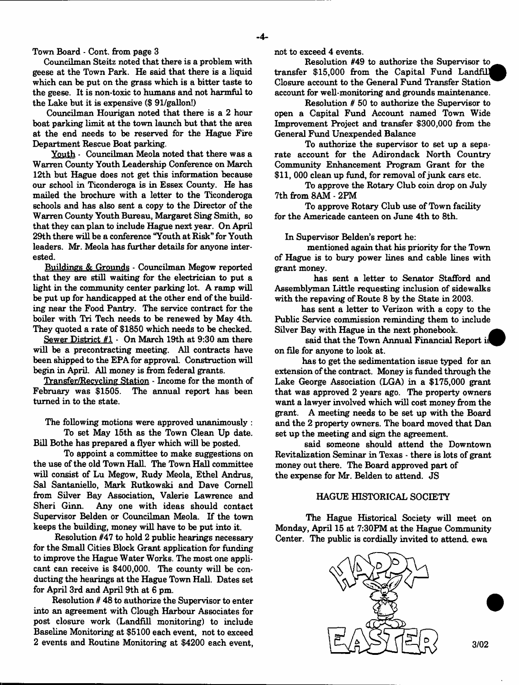Town Board - Cont. from page 3

Councilman Steitz noted that there is a problem with geese at the Town Park. He said that there is a liquid which can be put on the grass which is a bitter taste to the geese. It is non-toxic to humans and not harmful to the Lake but it is expensive (\$ 91/gallon!)

Councilman Hourigan noted that there is a 2 hour boat parking limit at the town launch but that the area at the end needs to be reserved for the Hague Fire Department Rescue Boat parking.

Youth - Councilman Meola noted that there was a Warren County Youth Leadership Conference on March 12th but Hague does not get this information because our school in Ticonderoga is in £ssex County. He has mailed the brochure with a letter to the Ticonderoga schools and has also sent a copy to the Director of the Warren County Youth Bureau, Margaret Sing Smith, so that they can plan to include Hague next year. On April 29th there will be a conference "Youth at Risk" for Youth leaders. Mr. Meola has further details for anyone interested.

Buildings & Grounds - Councilman Megow reported that they are still waiting for the electrician to put a light in the community center parking lot. A ramp will be put up for handicapped at the other end of the building near the Food Pantry. The service contract for the boiler with Tri Tech needs to be renewed by May 4th. They quoted a rate of \$1850 which needs to be checked.

Sewer District #1 - On March 19th at 9:30 am there will be a precontracting meeting. All contracts have been shipped to the EPA for approval. Construction will begin in April. All money is from federal grants.

Transfer/Recvcling Station - Income for the month of February was \$1505. The annual report has been turned in to the state.

The following motions were approved unanimously :

To set May 15th as the Town Clean Up date. Bill Bothe has prepared a flyer which will be posted.

To appoint a committee to make suggestions on the use of the old Town Hall. The Town Hall committee will consist of Lu Megow, Rudy Meola, Ethel Andrus, Sal Santaniello, Mark Rutkowski and Dave Cornell from Silver Bay Association, Valerie Lawrence and Sheri Ginn. Any one with ideas should contact Supervisor Belden or Councilman Meola. If the town keeps the building, money will have to be put into it.

Resolution #47 to hold 2 public hearings necessary for the Small Cities Block Grant application for funding to improve the Hague Water Works. The most one applicant can receive is \$400,000. The county will be conducting the hearings at the Hague Town Hall. Dates set for April 3rd and April 9th at 6 pm.

Resolution # 48 to authorize the Supervisor to enter into an agreement with Clough Harbour Associates for post closure work (Landfill monitoring) to include Baseline Monitoring at \$5100 each event, not to exceed 2 events and Routine Monitoring at \$4200 each event, not to exceed 4 events.

Resolution #49 to authorize the Supervisor to transfer \$15,000 from the Capital Fund Landfill! Closure account to the General Fund Transfer Station account for well-monitoring and grounds maintenance.

Resolution # 50 to authorize the Supervisor to open a Capital Fund Account named Town Wide Improvement Project and transfer \$300,000 from the General Fund Unexpended Balance

To authorize the supervisor to set up a separate account for the Adirondack North Country Community Enhancement Program Grant for the \$11, 000 clean up fund, for removal of junk cars etc.

To approve the Rotary Club coin drop on July 7th from 8AM-2PM

To approve Rotary Club use of Town facility for the Americade canteen on June 4th to 8th.

In Supervisor Belden's report he:

mentioned again that his priority for the Town of Hague is to bury power lines and cable lines with grant money.

has sent a letter to Senator Stafford and Assemblyman Little requesting inclusion of sidewalks with the repaving of Route 8 by the State in 2003.

has sent a letter to Verizon with a copy to the Public Service commission reminding them to include Silver Bay with Hague in the next phonebook. *a*

said that the Town Annual Financial Report is on file for anyone to look at.

has to get the sedimentation issue typed for an extension of the contract. Money is funded through the Lake George Association (LGA) in a \$175,000 grant that was approved 2 years ago. The property owners want a lawyer involved which will cost money from the grant. A meeting needs to be set up with the Board and the 2 property owners. The board moved that Dan set up the meeting and sign the agreement.

said someone should attend the Downtown Revitalization Seminar in Texas - there is lots of grant money out there. The Board approved part of the expense for Mr. Belden to attend. JS

## HAGUE HISTORICAL SOCIETY

The Hague Historical Society will meet on Monday, April 15 at 7:30PM at the Hague Community Center. The public is cordially invited to attend ewa

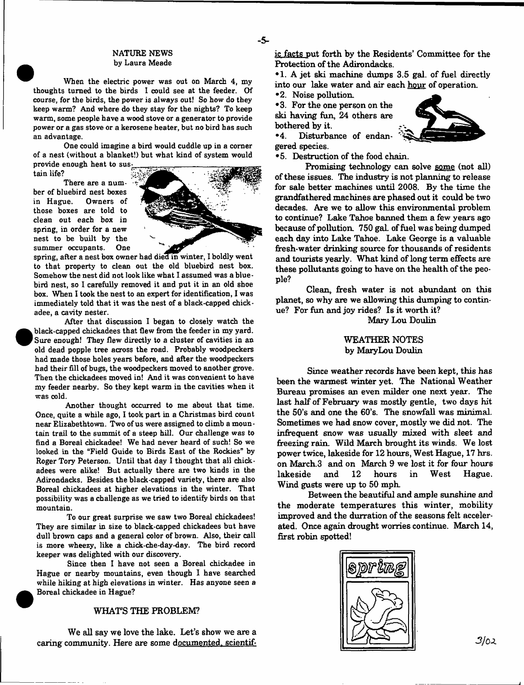#### NATURE NEWS by Laura Meade

When the electric power was out on March 4, my thoughts turned to the birds I could see at the feeder. Of course, for the birds, the power is always out! So how do they keep warm? And where do they stay for the nights? To keep warm, some people have a wood stove or a generator to provide power or a gas stove or a kerosene heater, but no bird has such an advantage.

One could imagine a bird would cuddle up in a corner of a nest (without a blanket!) but what kind of system would provide enough heat to sus^

tain life?

There are a number of bluebird nest boxes<br>in Hague. Owners of Owners of those boxes are told to clean out each box in spring, in order for a new nest to be built by the summer occupants. One



spring, after a nest box owner had died in winter, I boldly went to that property to clean out the old bluebird nest box. Somehow the nest did not look like what I assumed was a bluebird nest, so I carefully removed it and put it in an old shoe box. When I took the nest to an expert for identification, I was immediately told that it was the nest of a black-capped chickadee, a cavity nester.

After that discussion I began to closely watch the black-capped chickadees that flew from the feeder in my yard. Sure enough! They flew directly to a cluster of cavities in an old dead popple tree across the road. Probably woodpeckers had made those holes years before, and after the woodpeckers had their fill of bugs, the woodpeckers moved to another grove. Then the chickadees moved in! And it was convenient to have my feeder nearby. So they kept warm in the cavities when it was cold.

Another thought occurred to me about that time. Once, quite a while ago, I took part in a Christmas bird count near Elizabethtown. Two of us were assigned to climb a mountain trail to the summit of a steep hill. Our challenge was to find a Boreal chickadee! We had never heard of such! So we looked in the "Field Guide to Birds East of the Rockies" by Roger Tory Peterson. Until that day I thought that all chickadees were alike! But actually there are two kinds in the Adirondacks. Besides the black-capped variety, there are also Boreal chickadees at higher elevations in the winter. That possibility was a challenge as we tried to identify birds on that mountain.

To our great surprise we saw two Boreal chickadees! They are similar in size to black-capped chickadees but have dull brown caps and a general color of brown. Also, their call is more wheezy, like a chick-che-day-day. The bird record keeper was delighted with our discovery.

Since then I have not seen a Boreal chickadee in Hague or nearby mountains, even though I have searched while hiking at high elevations in winter. Has anyone seen a Boreal chickadee in Hague?

## WHATS THE PROBLEM?

We all say we love the lake. Let's show we are a caring community. Here are some documented, scientific facts put forth by the Residents' Committee for the Protection of the Adirondacks.

•1. A jet ski machine dumps 3.5 gal. of fuel directly into our lake water and air each hour of operation.

•2. Noise pollution.

• 3. For the one person on the ski having fun, 24 others are bothered by it.<br>
•4. Disturba



Disturbance of endangered species.

•5. Destruction of the food chain.

Promising technology can solve some (not all) of these issues. The industry is not planning to release for sale better machines until 2008. By the time the grandfathered machines are phased out it could be two decades. Are we to allow this environmental problem to continue? Lake Tahoe banned them a few years ago because of pollution. 750 gaL of fuel was being dumped each day into Lake Tahoe. Lake George is a valuable fresh-water drinking source for thousands of residents and tourists yearly. What kind of long term effects are these pollutants going to have on the health of the people?

Clean, fresh water is not abundant on this planet, so why are we allowing this dumping to continue? For fun and joy rides? Is it worth it?

Mary Lou Doulin

## WEATHER NOTES by Mary Lou Doulin

Since weather records have been kept, this has been the warmest winter yet. The National Weather Bureau promises an even milder one next year. The last half of February was mostly gentle, two days hit the 50's and one the 60's. The snowfall was minimal. Sometimes we had snow cover, mostly we did not. The infrequent snow was usually mixed with sleet and freezing rain. Wild March brought its winds. We lost power twice, lakeside for 12 hours, West Hague, 17 hrs. on March.3 and on March 9 we lost it for four hours lakeside and 12 hours in West Hague. Wind gusts were up to 50 mph

Between the beautiful and ample sunshine and the moderate temperatures this winter, mobility improved and the durration of the seasons felt accelerated. Once again drought worries continue. March 14, first robin spotted!

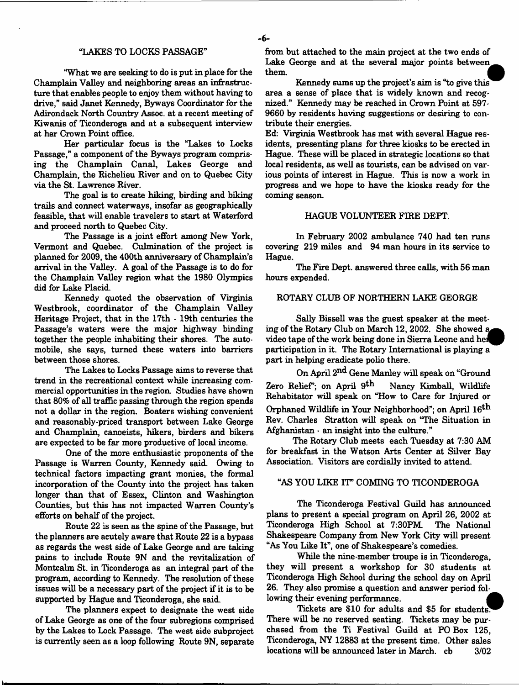#### "LAKES TO LOCKS PASSAGE"

"What we are seeking to do is put in place for the Champlain Valley and neighboring areas an infrastructure that enables people to enjoy them without having to drive," said Janet Kennedy, Byways Coordinator for the Adirondack North Country Assoc, at a recent meeting of Kiwanis of Ticonderoga and at a subsequent interview at her Crown Point office.

Her particular focus is the "Lakes to Locks Passage," a component of the Byways program comprising the Champlain Canal, Lakes George and Champlain, the Richelieu River and on to Quebec City via the St. Lawrence River.

The goal is to create hiking, birding and biking trails and connect waterways, insofar as geographically feasible, that will enable travelers to start at Waterford and proceed north to Quebec City.

The Passage is a joint effort among New York, Vermont and Quebec. Culmination of the project is planned for 2009, the 400th anniversary of Champlain's arrival in the Valley. A goal of the Passage is to do for the Champlain Valley region what the 1980 Olympics did for Lake Placid.

Kennedy quoted the observation of Virginia Westbrook, coordinator of the Champlain Valley Heritage Project, that in the 17th - 19th centuries the Passage's waters were the major highway binding together the people inhabiting their shores. The automobile, she says, turned these waters into barriers between those shores.

The Lakes to Locks Passage aims to reverse that trend in the recreational context while increasing commercial opportunities in the region. Studies have shown that 80% of all traffic passing through the region spends not a dollar in the region. Boaters wishing convenient and reasonably-priced transport between Lake George and Champlain, canoeists, hikers, birders and bikers are expected to be far more productive of local income.

One of the more enthusiastic proponents of the Passage is Warren County, Kennedy said. Owing to technical factors impacting grant monies, the formal incorporation of the County into the project has taken longer than that of Essex, Clinton and Washington Counties, but this has not impacted Warren County's efforts on behalf of the project.

Route 22 is seen as the spine of the Passage, but the planners are acutely aware that Route 22 is a bypass as regards the west side of Lake George and are taking pains to include Route 9N and the revitalization of Montcalm St. in Ticonderoga as an integral part of the program, according to Kennedy. The resolution of these issues will be a necessary part of the project if it is to be supported by Hague and Ticonderoga, she said.

The planners expect to designate the west side of Lake George as one of the four subregions comprised by the Lakes to Lock Passage. The west side subproject is currently seen as a loop following Route 9N, separate from but attached to the main project at the two ends of Lake George and at the several major points between them.

Kennedy sums up the project's aim is "to give this" area a sense of place that is widely known and recognized." Kennedy may be reached in Crown Point at 597- 9660 by residents having suggestions or desiring to contribute their energies.

Ed: Virginia Westbrook has met with several Hague residents, presenting plans for three kiosks to be erected in Hague. These will be placed in strategic locations so that local residents, as well as tourists, can be advised on various points of interest in Hague. This is now a work in progress and we hope to have the kiosks ready for the coming season.

#### HAGUE VOLUNTEER FIRE DEFT.

In February 2002 ambulance 740 had ten rune covering 219 miles and 94 man hours in its service to Hague.

The Fire Dept, answered three calls, with 56 man hours expended.

#### ROTARY CLUB OF NORTHERN LAKE GEORGE

Sally Bissell was the guest speaker at the meeting of the Rotary Club on March 12, 2002. She showed video tape of the work being done in Sierra Leone and he^^P participation in it. The Rotary International is playing a part in helping eradicate polio there.

On April 2<sup>nd</sup> Gene Manley will speak on "Ground Zero Relief"; on April  $9$ <sup>th</sup> Nancy Kimball, Wildlife Rehabitator will speak on "How to Care for Injured or Orphaned Wildlife in Your Neighborhood"; on April  $16^{\text{th}}$ Rev. Charles Stratton will speak on "The Situation in Afghanistan - an insight into the culture."

The Rotary Club meets each Tuesday at 7:30 AM for breakfast in the Watson Arts Center at Silver Bay Association. Visitors are cordially invited to attend.

#### "AS YOU LIKE IT" COMING TO TICONDEROGA

The Ticonderoga Festival Guild has announced plans to present a special program on April 26, 2002 at Ticonderoga High School at 7:30PM. The National Shakespeare Company from New York City will present "As You Like It", one of Shakespeare's comedies.

While the nine-member troupe is in Ticonderoga, they will present a workshop for 30 students at Ticonderoga High School during the school day on April 26. They also promise a question and answer period following their evening performance.

Tickets are \$10 for adults and \$5 for students^^ There will be no reserved seating. Tickets may be purchased from the Ti Festival Guild at PO Box 125, Ticonderoga, NY 12883 at the present time. Other sales locations will be announced later in March, cb  $3/02$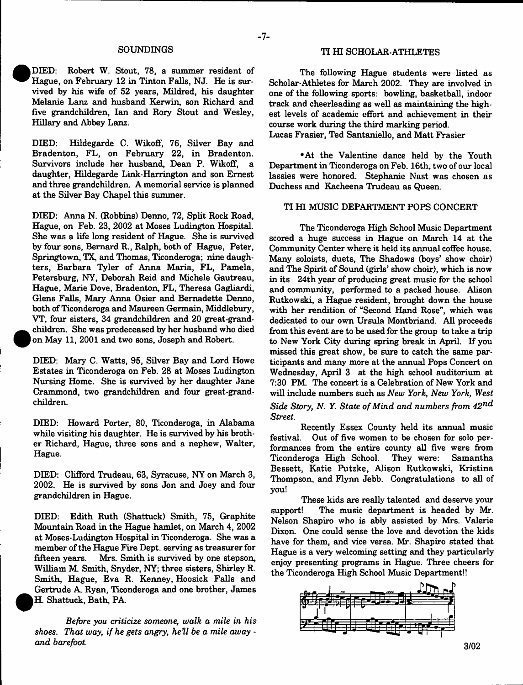#### SOUNDINGS

 DEED: Robert W. Stout, 78, a summer resident of Hague, on February 12 in Tinton Falls, NJ. He is survived by his wife of 52 years, Mildred, his daughter Melanie Lanz and husband Kerwin, son Richard and five grandchildren, Ian and Rory Stout and Wesley, Hillary and Abbey Lanz.

•

 $\bullet$ 

DIED: Hildegarde C. Wikoff, 76, Silver Bay and Bradenton, FL, on February 22, in Bradenton. Survivors include her husband, Dean P. Wikoff, a daughter, Hildegarde Link-Harrington and son Ernest and three grandchildren. A memorial service is planned at the Silver Bay Chapel this summer.

DEED: Anna N. (Robbins) Denno, 72, Split Rock Road, Hague, on Feb. 23, 2002 at Moses Ludington Hospital. She was a life long resident of Hague. She is survived by four sons, Bernard R., Ralph, both of Hague, Peter, Springtown, TX, and Thomas, Ticonderoga; nine daughters, Barbara Tyler of Anna Maria, FL, Pamela, Petersburg, NY, Deborah Reid and Michele Gautreau, Hague, Marie Dove, Bradenton, FL, Theresa Gagliardi, Glens Falls, Mary Anna Osier and Bernadette Denno, both of Ticonderoga and Maureen Germain, Middlebury, VT, four sisters, 34 grandchildren and 20 great-grand children. She was predeceased by her husband who died on May 11, 2001 and two sons, Joseph and Robert.

DEED: Mary C. Watts, 95, Silver Bay and Lord Howe Estates in Ticonderoga on Feb. 28 at Moses Ludington Nursing Home. She is survived by her daughter Jane Crammond, two grandchildren and four great-grandchildren.

DIED: Howard Porter, 80, Ticonderoga, in Alabama while visiting his daughter. He is survived by his brother Richard, Hague, three sons and a nephew, Walter, Hague.

DEED: Clifford Trudeau, 63, Syracuse, NY on March 3, 2002. He is survived by sons Jon and Joey and four grandchildren in Hague.

DEED: Edith Ruth (Shattuck) Smith, 75, Graphite Mountain Road in the Hague hamlet, on March 4, 2002 at Moses-Ludington Hospital in Ticonderoga. She was a member of the Hague Fire Dept, serving as treasurer for<br>fifteen vears. Mrs. Smith is survived by one stepson. Mrs. Smith is survived by one stepson, William M Smith, Snyder, NY; three sisters, Shirley R. Smith, Hague, Eva R. Kenney, Hoosick Falls and Gertrude A. Ryan, Ticonderoga and one brother, James H. Shattuck, Bath, PA.

*Before you criticize someone, walk a mile in his shoes. That way, if he gets angry, hell be a mile away and barefoot.*

#### TI HI SCHOLAR-ATHLETES

The following Hague students were listed as Scholar-Athletes for March 2002. They are involved in one of the following sports: bowling, basketball, indoor track and cheerleading as well as maintaining the highest levels of academic effort and achievement in their course work during the third marking period. Lucas Frasier, Ted Santaniello, and Matt Frasier

•At the Valentine dance held by the Youth Department in Ticonderoga on Feb. 16th, two of our local lassies were honored. Stephanie Nast was chosen as Duchess and Kacheena Trudeau as Queen.

## TI HI MUSIC DEPARTMENT POPS CONCERT

The Ticonderoga High School Music Department scored a huge success in Hague on March 14 at the Community Center where it held its annual coffee house. Many soloists, duets, The Shadows (boys' show choir) and The Spirit of Sound (girls' show choir), which is now in its 24th year of producing great music for the school and community, performed to a packed house. Alison Rutkowski, a Hague resident, brought down the house with her rendition of "Second Hand Rose", which was dedicated to our own Ursula Montbriand. All proceeds from this event are to be used for the group to take a trip to New York City during spring break in April. If you missed this great show, be sure to catch the same participants and many more at the annual Pops Concert on Wednesday, April 3 at the high school auditorium at 7:30 PM. The concert is a Celebration of New York and will include numbers such as *New York, New York, West Side Story, N. Y. State of Mind and numbers from 42*m^ *Street.*

Recently Essex County held its annual music festival. Out of five women to be chosen for solo performances from the entire county all five were from Ticonderoga High School. They were: Samantha Bessett, Katie Putzke, Alison Rutkowski, Kristina Thompson, and Flynn Jebb. Congratulations to all of you!

These kids are really talented and deserve your support! The music department is headed by Mr. Nelson Shapiro who is ably assisted by Mrs. Valerie Dixon. One could sense the love and devotion the kids have for them, and vice versa. Mr. Shapiro stated that Hague is a very welcoming setting and they particularly enjoy presenting programs in Hague. Three cheers for the Ticonderoga High School Music Department!!

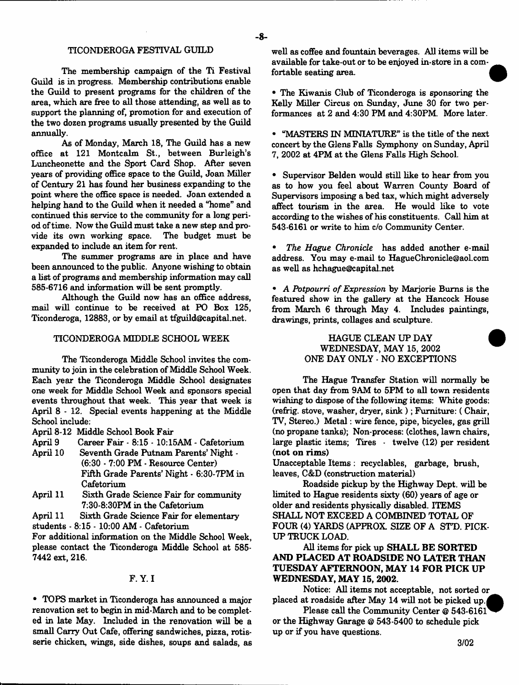## TICONDEROGA FESTIVAL GUILD

The membership campaign of the Ti Festival Guild is in progress. Membership contributions enable the Guild to present programs for the children of the area, which are free to all those attending, as well as to support the planning of, promotion for and execution of the two dozen programs usually presented by the Guild annually.

As of Monday, March 18, The Guild has a new office at 121 Montcalm St., between Burleigh's Luncheonette and the Sport Card Shop. After seven years of providing office space to the Guild, Joan Miller of Century 21 has found her business expanding to the point where the office space is needed. Joan extended a helping hand to the Guild when it needed a "home" and continued this service to the community for a long period of time. Now the Guild must take a new step and provide its own working space. The budget must be expanded to include an item for rent.

The summer programs are in place and have been announced to the public. Anyone wishing to obtain a list of programs and membership information may call 585-6716 and information will be sent promptly.

Although the Guild now has an office address, mail will continue to be received at PO Box 125, Ticonderoga, 12883, or by email at [tfguild@capital.net.](mailto:tfguild@capital.net)

## TICONDEROGA MIDDLE SCHOOL WEEK

The Ticonderoga Middle School invites the community to join in the celebration of Middle School Week. Each year the Ticonderoga Middle School designates one week for Middle School Week and sponsors special events throughout that week. This year that week is April 8 - 12. Special events happening at the Middle School include:

April 8-12 Middle School Book Fair

- April 9 Career Fair 8:15 10:15AM Cafetorium
- April 10 Seventh Grade Putnam Parents' Night (6:30 - 7:00 PM - Resource Center) Fifth Grade Parents' Night - 6:30-7PM in Cafetorium
- April 11 Sixth Grade Science Fair for community 7:30-8:30PM in the Cafetorium
- April 11 Sixth Grade Science Fair for elementary students - 8:15 - 10:00 AM - Cafetorium

For additional information on the Middle School Week, please contact the Ticonderoga Middle School at 585- 7442 ext, 216.

### F. Y. I

• TOPS market in Ticonderoga has announced a major renovation set to begin in mid-March and to be completed in late May. Included in the renovation will be a small Carry Out Cafe, offering sandwiches, pizza, rotisserie chicken, wings, side dishes, soups and salads, as

well as coffee and fountain beverages. All items will be available for take-out or to be enjoyed in-store in a comfortable seating area.

• The Kiwanis Club of Ticonderoga is sponsoring the Kelly Miller Circus on Sunday, June 30 for two performances at 2 and 4:30 PM and 4:30PM. More later.

• "MASTERS IN MINIATURE" is the title of the next concert by the Glens Falls Symphony on Sunday, April 7, 2002 at 4PM at the Glens Falls High School.

• Supervisor Belden would still like to hear from you as to how you feel about Warren County Board of Supervisors imposing a bed tax, which might adversely affect tourism in the area. He would like to vote according to the wishes of his constituents. Call him at 543-6161 or write to him *do* Community Center.

• *The Hague Chronicle* has added another e-mail address. You may e-mail to [HagueChronicle@aol.com](mailto:HagueChronicle@aol.com) as well as [hchague@capital.net](mailto:hchague@capital.net)

• *A Potpourri of Expression* by Marjorie Bums is the featured show in the gallery at the Hancock House from March 6 through May 4. Includes paintings, drawings, prints, collages and sculpture.

## HAGUE CLEAN UP DAY WEDNESDAY, MAY 15, 2002 ONE DAY ONLY - NO EXCEPTIONS

The Hague Transfer Station will normally be open that day from 9AM to 5PM to all town residents wishing to dispose of the following items: White goods: (refrig, stove, washer, dryer, sink ); Furniture: ( Chair, TV, Stereo.) Metal: wire fence, pipe, bicycles, gas grill (no propane tanks); Non-process: (clothes, lawn chairs, large plastic items; Tires • twelve (12) per resident (not on rims)

Unacceptable Items : recyclables, garbage, brush, leaves, C&D (construction material)

Roadside pickup by the Highway Dept, will be limited to Hague residents sixty (60) years of age or older and residents physically disabled. ITEMS SHALL NOT EXCEED A COMBINED TOTAL OF FOUR (4) YARDS (APPROX. SIZE OF A STD. PICK-UP TRUCK LOAD.

All items for pick up SHALL BE SORTED AND PLACED AT ROADSIDE NO LATER THAN TUESDAY AFTERNOON, MAY 14 FOR PICK UP WEDNESDAY, MAY 15, 2002.

Notice: All items not acceptable, not sorted or placed at roadside after May 14 will not be picked up.

Please call the Community Center @ 543-6161<sup></sup> or the Highway Garage @ 543-5400 to schedule pick up or if you have questions.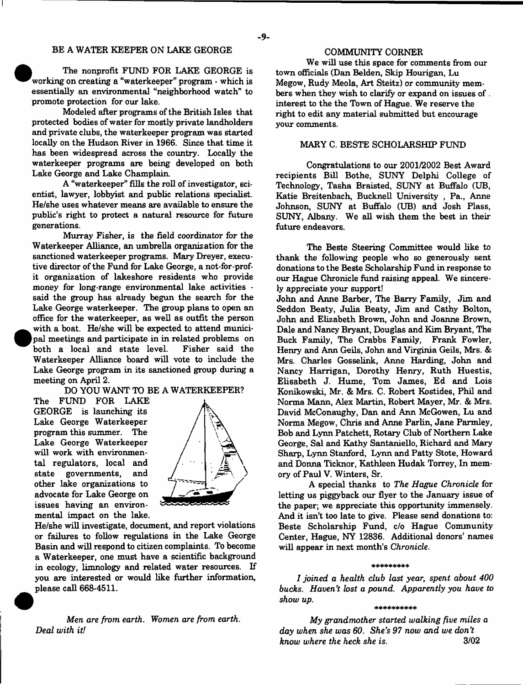## BE A WATER KEEPER ON LAKE GEORGE

 The nonprofit FUND FOR LAKE GEORGE is working on creating a "waterkeeper" program  $\cdot$  which is essentially an environmental "neighborhood watch" to promote protection for our lake.

•

 $\bullet$ 

Modeled after programs of the British Isles that protected bodies of water for mostly private landholders and private clubs, the waterkeeper program was started locally on the Hudson River in 1966. Since that time it has been widespread across the country. Locally the waterkeeper programs are being developed on both Lake George and Lake Champlain

A "waterkeeper" fills the roll of investigator, scientist, lawyer, lobbyist and public relations specialist. He/she uses whatever means are available to ensure the public's right to protect a natural resource for future generations.

Murray Fisher, is the field coordinator for the Waterkeeper Alliance, an umbrella organization for the sanctioned waterkeeper programs. Mary Dreyer, executive director of the Fund for Lake George, a not-for-profit organization of lakeshore residents who provide money for long-range environmental lake activities said the group has already begun the search for the Lake George waterkeeper. The group plans to open an office for the waterkeeper, as well as outfit the person with a boat. He/she will be expected to attend municipal meetings and participate in in related problems on both a local and state level. Fisher said the both a local and state level. Waterkeeper Alliance board will vote to include the Lake George program in its sanctioned group during a meeting on April 2.

DO YOU WANT TO BE A WATERKEEPER?

The FUND FOR LAKE GEORGE is launching its Lake George Waterkeeper program this summer. The Lake George Waterkeeper will work with environmental regulators, local and state governments, and other lake organizations to advocate for Lake George on issues having an environmental impact on the lake.



He/she will investigate, document, and report violations or failures to follow regulations in the Lake George Basin and will respond to citizen complaints. To become a Waterkeeper, one must have a scientific background in ecology, limnology and related water resources. If you are interested or would like further information, please call 668-4511.

Men are *from earth. Women are from earth. Deal with it!*

We will use this space for comments from our town officials (Dan Belden, Skip Hourigan, Lu Megow, Rudy Meola, Art Steitz) or community members when they wish to clarify or expand on issues of . interest to the the Town of Hague. We reserve the right to edit any material submitted but encourage your comments.

## MARY C. BESTE SCHOLARSHIP FUND

Congratulations to our 2001/2002 Best Award recipients Bill Bothe, SUNY Delphi College of Technology, Tasha Braisted, SUNY at Buffalo (UB, Katie Breitenbach, Bucknell University , Pa., Anne Johnson, SUNY at Buffalo (UB) and Josh Plass, SUNY, Albany. We all wish them the best in their future endeavors.

The Beste Steering Committee would like to thank the following people who so generously sent donations to the Beste Scholarship Fund in response to our Hague Chronicle fund raising appeal. We sincerely appreciate your support!

John and Anne Barber, The Barry Family, Jim and Seddon Beaty, Julia Beaty, Jim and Cathy Bolton, John and Elizabeth Brown, John and Joanne Brown, Dale and Nancy Bryant, Douglas and Kim Bryant, The Buck Family, The Crabbs Family, Frank Fowler, Henry and Ann Geils, John and Virginia Geils, Mrs. & Mrs. Charles Gosselink, Anne Harding, John and Nancy Harrigan, Dorothy Henry, Ruth Huestis, Elisabeth J. Hume, Tom James, Ed and Lois Konikowski, Mr. & Mrs. C. Robert Kostides, Phil and Norma Mann, Alex Martin, Robert Mayer, Mr. & Mrs. David McConaughy, Dan and Ann McGowen, Lu and Norma Megow, Chris and Anne Parlin, Jane Parmley, Bob and Lynn Patchett, Rotary Club of Northern Lake George, Sal and Kathy Santaniello, Richard and Mary Sharp, Lynn Stanford, Lynn and Patty Stote, Howard and Donna Ticknor, Kathleen Hudak Torrey, In memory of Paul V. Winters, Sr.

A special thanks to *The Hague Chronicle* for letting us piggyback our flyer to the January issue of the paper; we appreciate this opportunity immensely. And it isn't too late to give. Please send donations to: Beste Scholarship Fund, c/o Hague Community Center, Hague, NY 12836. Additional donors' names will appear in next month's *Chronicle.*

#### \*\*\*\*\*\*\*\*\*\*

*I joined a health club last year*, *spent about 400 bucks. Haven't lost a pound. Apparently you have to show up.*

#### \* \* \* \* \* \* \* \* \* \*

*My grandmother started walking five miles a day when she was 60. She's 97 now and we don't know where the heck she is.* 3/02